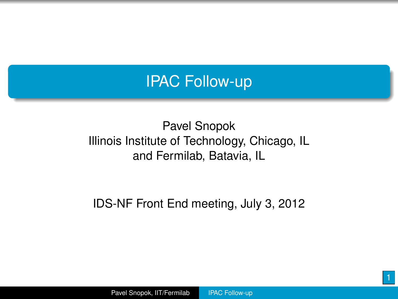

#### Pavel Snopok Illinois Institute of Technology, Chicago, IL and Fermilab, Batavia, IL

IDS-NF Front End meeting, July 3, 2012

<span id="page-0-0"></span>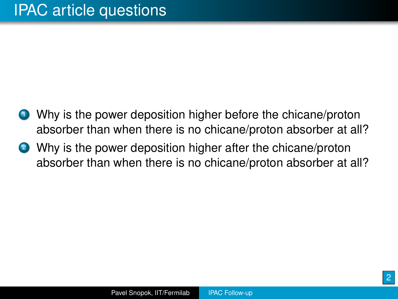- <sup>1</sup> Why is the power deposition higher before the chicane/proton absorber than when there is no chicane/proton absorber at all?
- 2 Why is the power deposition higher after the chicane/proton absorber than when there is no chicane/proton absorber at all?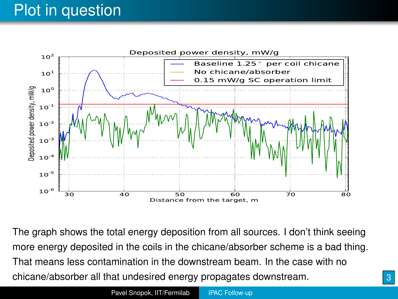# Plot in question



The graph shows the total energy deposition from all sources. I don't think seeing more energy deposited in the coils in the chicane/absorber scheme is a bad thing. That means less contamination in the downstream beam. In the case with no chicane/absorber all that undesired energy propagates downstream.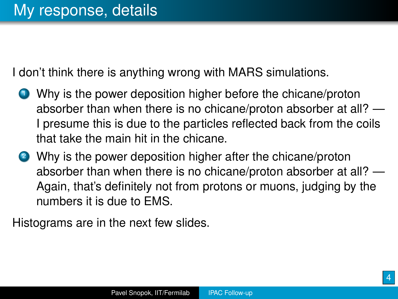I don't think there is anything wrong with MARS simulations.

- <sup>1</sup> Why is the power deposition higher before the chicane/proton absorber than when there is no chicane/proton absorber at all? — I presume this is due to the particles reflected back from the coils that take the main hit in the chicane.
- <sup>2</sup> Why is the power deposition higher after the chicane/proton absorber than when there is no chicane/proton absorber at all? — Again, that's definitely not from protons or muons, judging by the numbers it is due to EMS.

Histograms are in the next few slides.

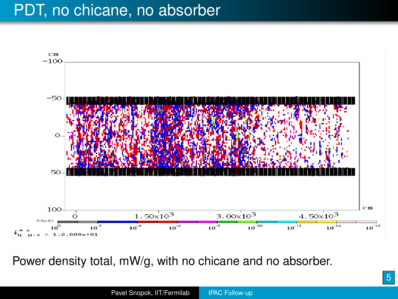

Power density total, mW/g, with no chicane and no absorber.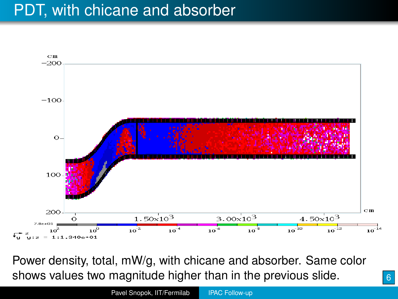#### PDT, with chicane and absorber



Power density, total, mW/g, with chicane and absorber. Same color shows values two magnitude higher than in the previous slide.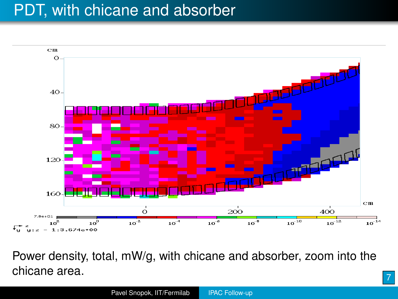## PDT, with chicane and absorber



Power density, total, mW/g, with chicane and absorber, zoom into the chicane area.

7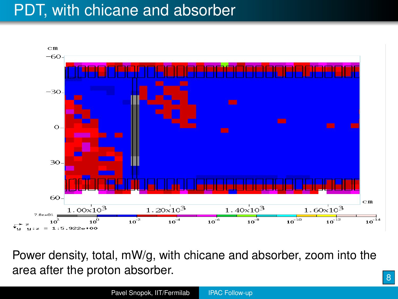## PDT, with chicane and absorber



Power density, total, mW/g, with chicane and absorber, zoom into the area after the proton absorber.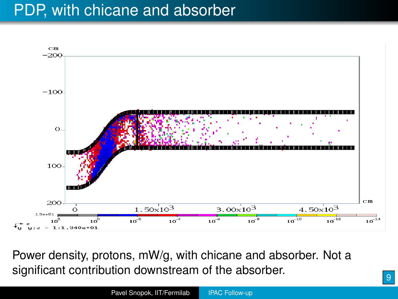#### PDP, with chicane and absorber



Power density, protons, mW/g, with chicane and absorber. Not a significant contribution downstream of the absorber.

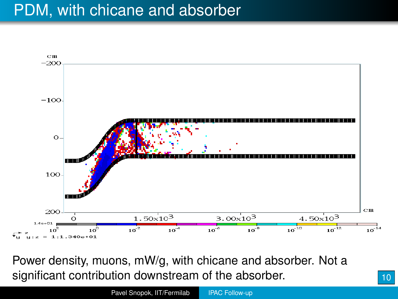#### PDM, with chicane and absorber



Power density, muons, mW/g, with chicane and absorber. Not a significant contribution downstream of the absorber.

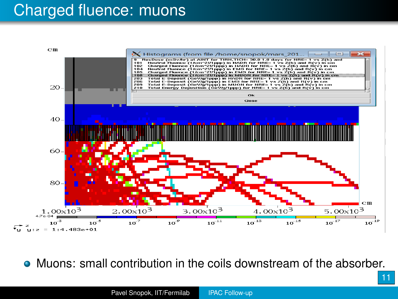#### Charged fluence: muons



Muons: small contribution in the coils downstream of the absorber.

11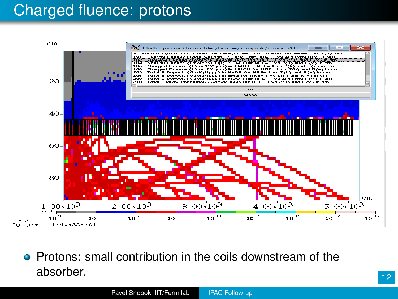### Charged fluence: protons



**•** Protons: small contribution in the coils downstream of the absorber.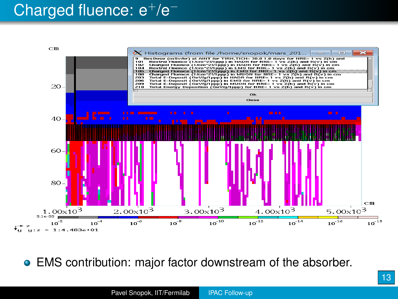# Charged fluence: e<sup>+</sup>/e<sup>−</sup>



EMS contribution: major factor downstream of the absorber.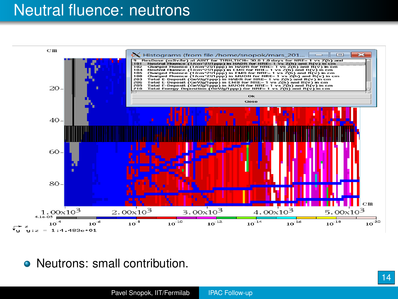#### Neutral fluence: neutrons



• Neutrons: small contribution.

14